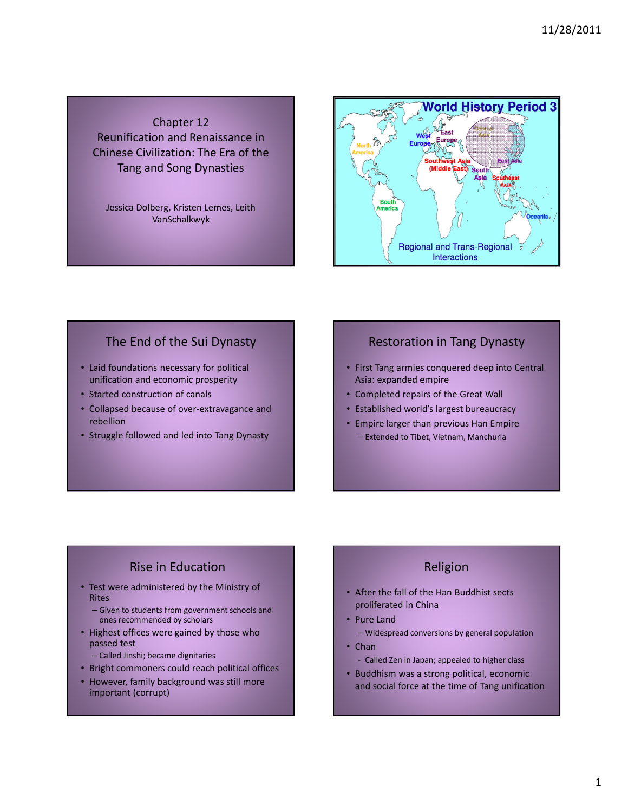Chapter 12 Reunification and Renaissance in Chinese Civilization: The Era of the Tang and Song Dynasties

Jessica Dolberg, Kristen Lemes, Leith VanSchalkwyk



#### The End of the Sui Dynasty

- Laid foundations necessary for political unification and economic prosperity
- Started construction of canals
- Collapsed because of over-extravagance and rebellion
- Struggle followed and led into Tang Dynasty

## Restoration in Tang Dynasty

- First Tang armies conquered deep into Central Asia: expanded empire
- Completed repairs of the Great Wall
- Established world's largest bureaucracy
- Empire larger than previous Han Empire – Extended to Tibet, Vietnam, Manchuria

# Rise in Education

- Test were administered by the Ministry of Rites
	- Given to students from government schools and ones recommended by scholars
- Highest offices were gained by those who passed test
	- Called Jinshi; became dignitaries
- Bright commoners could reach political offices
- However, family background was still more important (corrupt)

# Religion

- After the fall of the Han Buddhist sects proliferated in China
- Pure Land
	- Widespread conversions by general population
- Chan
	- Called Zen in Japan; appealed to higher class
- Buddhism was a strong political, economic and social force at the time of Tang unification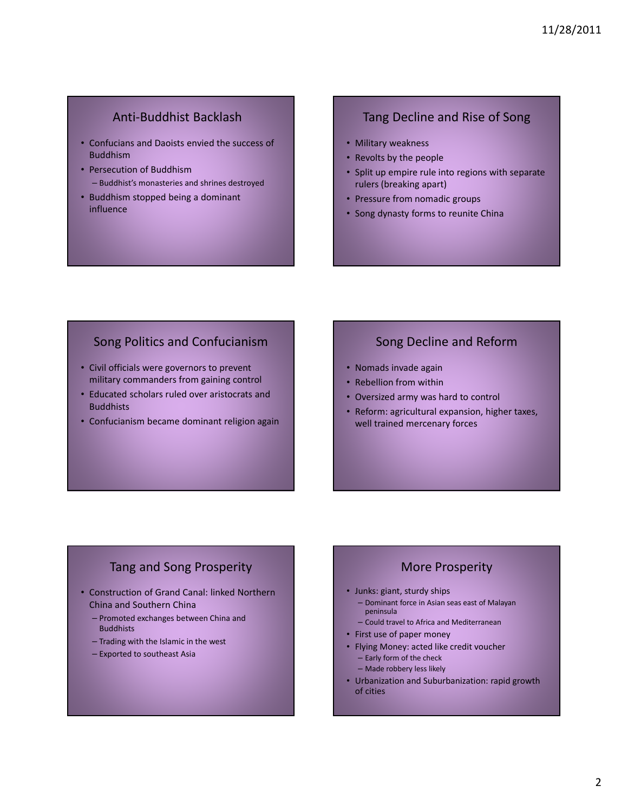### Anti-Buddhist Backlash

- Confucians and Daoists envied the success of Buddhism
- Persecution of Buddhism – Buddhist's monasteries and shrines destroyed
- Buddhism stopped being a dominant influence

#### Tang Decline and Rise of Song

- Military weakness
- Revolts by the people
- Split up empire rule into regions with separate rulers (breaking apart)
- Pressure from nomadic groups
- Song dynasty forms to reunite China

# Song Politics and Confucianism

- Civil officials were governors to prevent military commanders from gaining control
- Educated scholars ruled over aristocrats and **Buddhists**
- Confucianism became dominant religion again

### Song Decline and Reform

- Nomads invade again
- Rebellion from within
- Oversized army was hard to control
- Reform: agricultural expansion, higher taxes, well trained mercenary forces

# Tang and Song Prosperity

- Construction of Grand Canal: linked Northern China and Southern China
	- Promoted exchanges between China and Buddhists
	- Trading with the Islamic in the west
	- Exported to southeast Asia

# More Prosperity

- Junks: giant, sturdy ships
	- Dominant force in Asian seas east of Malayan peninsula
	- Could travel to Africa and Mediterranean
- First use of paper money
- Flying Money: acted like credit voucher
	- Early form of the check
	- Made robbery less likely
- Urbanization and Suburbanization: rapid growth of cities